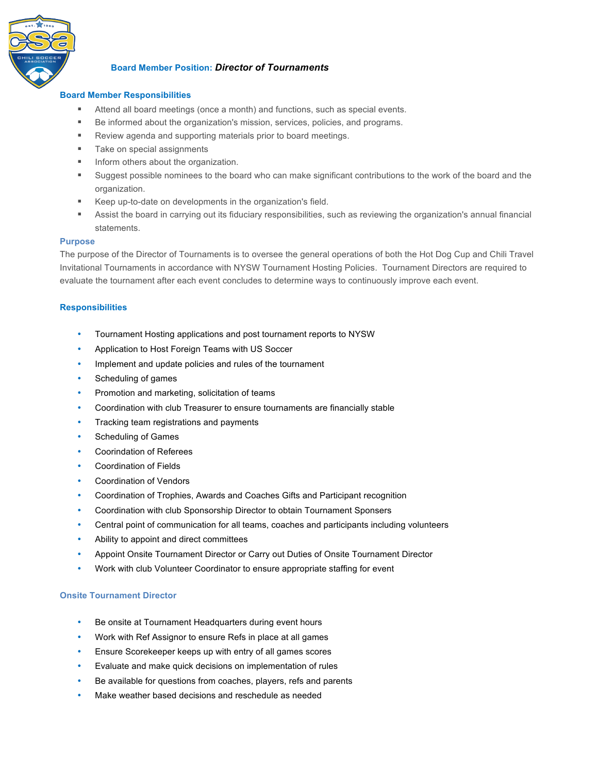

# **Board Member Position:** *Director of Tournaments*

## **Board Member Responsibilities**

- ! Attend all board meetings (once a month) and functions, such as special events.
- ! Be informed about the organization's mission, services, policies, and programs.
- **EXECTE:** Review agenda and supporting materials prior to board meetings.
- **Take on special assignments**
- **IF Inform others about the organization.**
- Suggest possible nominees to the board who can make significant contributions to the work of the board and the organization.
- ! Keep up-to-date on developments in the organization's field.
- ! Assist the board in carrying out its fiduciary responsibilities, such as reviewing the organization's annual financial statements.

#### **Purpose**

The purpose of the Director of Tournaments is to oversee the general operations of both the Hot Dog Cup and Chili Travel Invitational Tournaments in accordance with NYSW Tournament Hosting Policies. Tournament Directors are required to evaluate the tournament after each event concludes to determine ways to continuously improve each event.

#### **Responsibilities**

- Tournament Hosting applications and post tournament reports to NYSW
- Application to Host Foreign Teams with US Soccer
- Implement and update policies and rules of the tournament
- Scheduling of games
- Promotion and marketing, solicitation of teams
- Coordination with club Treasurer to ensure tournaments are financially stable
- Tracking team registrations and payments
- Scheduling of Games
- Coorindation of Referees
- Coordination of Fields
- Coordination of Vendors
- Coordination of Trophies, Awards and Coaches Gifts and Participant recognition
- Coordination with club Sponsorship Director to obtain Tournament Sponsers
- Central point of communication for all teams, coaches and participants including volunteers
- Ability to appoint and direct committees
- Appoint Onsite Tournament Director or Carry out Duties of Onsite Tournament Director
- Work with club Volunteer Coordinator to ensure appropriate staffing for event

## **Onsite Tournament Director**

- Be onsite at Tournament Headquarters during event hours
- Work with Ref Assignor to ensure Refs in place at all games
- Ensure Scorekeeper keeps up with entry of all games scores
- Evaluate and make quick decisions on implementation of rules
- Be available for questions from coaches, players, refs and parents
- Make weather based decisions and reschedule as needed